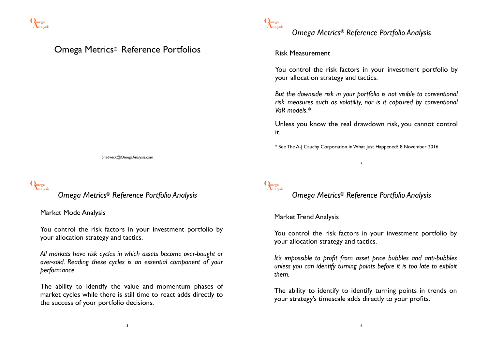

### Omega Metrics® Reference Portfolios

Shadwick@OmegaAnalysis.com

# **Analysis Omega**

*Omega Metrics® Reference Portfolio Analysis*

Market Mode Analysis

You control the risk factors in your investment portfolio by your allocation strategy and tactics.

*All markets have risk cycles in which assets become over-bought or over-sold. Reading these cycles is an essential component of your performance.*

The ability to identify the value and momentum phases of market cycles while there is still time to react adds directly to the success of your portfolio decisions.



## *Omega Metrics® Reference Portfolio Analysis*

#### Risk Measurement

You control the risk factors in your investment portfolio by your allocation strategy and tactics.

*But the downside risk in your portfolio is not visible to conventional risk measures such as volatility, nor is it captured by conventional VaR models.\**

Unless you know the real drawdown risk, you cannot control it.

\* See The A-J Cauchy Corporation in What Just Happened? 8 November 2016

2

**Analysis Omega**

*Omega Metrics® Reference Portfolio Analysis*

#### Market Trend Analysis

You control the risk factors in your investment portfolio by your allocation strategy and tactics.

*It's impossible to profit from asset price bubbles and anti-bubbles unless you can identify turning points before it is too late to exploit them.*

The ability to identify to identify turning points in trends on your strategy's timescale adds directly to your profits.

3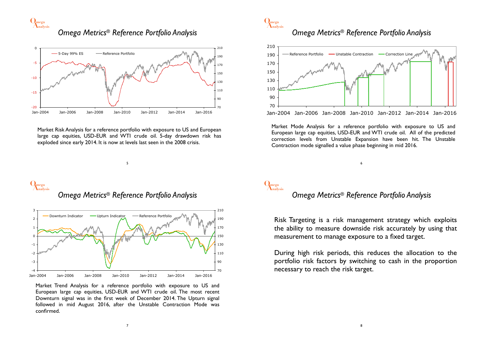**Analysis Omega**

*Omega Metrics® Reference Portfolio Analysis*



Market Risk Analysis for a reference portfolio with exposure to US and European large cap equities, USD-EUR and WTI crude oil. 5-day drawdown risk has exploded since early 2014. It is now at levels last seen in the 2008 crisis.

5



### *Omega Metrics® Reference Portfolio Analysis*



Jan-2004 Jan-2006 Jan-2008 Jan-2010 Jan-2012 Jan-2014 Jan-2016

Market Mode Analysis for a reference portfolio with exposure to US and European large cap equities, USD-EUR and WTI crude oil. All of the predicted correction levels from Unstable Expansion have been hit. The Unstable Contraction mode signalled a value phase beginning in mid 2016.

### **Analysis Omega** *Omega Metrics® Reference Portfolio Analysis*



Market Trend Analysis for a reference portfolio with exposure to US and European large cap equities, USD-EUR and WTI crude oil. The most recent Downturn signal was in the first week of December 2014. The Upturn signal followed in mid August 2016, after the Unstable Contraction Mode was confirmed.

# **Analysis Omega**

#### *Omega Metrics® Reference Portfolio Analysis*

6

Risk Targeting is a risk management strategy which exploits the ability to measure downside risk accurately by using that measurement to manage exposure to a fixed target.

During high risk periods, this reduces the allocation to the portfolio risk factors by switching to cash in the proportion necessary to reach the risk target.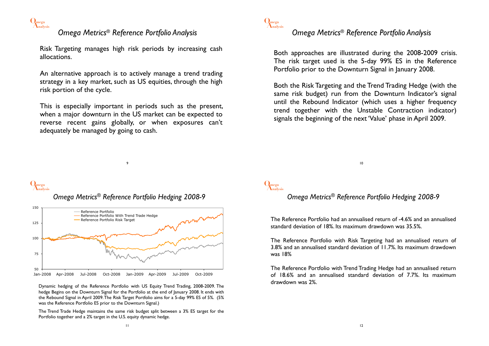

### *Omega Metrics® Reference Portfolio Analysis*

Risk Targeting manages high risk periods by increasing cash allocations.

An alternative approach is to actively manage a trend trading strategy in a key market, such as US equities, through the high risk portion of the cycle.

This is especially important in periods such as the present, when a major downturn in the US market can be expected to reverse recent gains globally, or when exposures can't adequately be managed by going to cash.

9



### *Omega Metrics® Reference Portfolio Analysis*

Both approaches are illustrated during the 2008-2009 crisis. The risk target used is the 5-day 99% ES in the Reference Portfolio prior to the Downturn Signal in January 2008.

Both the Risk Targeting and the Trend Trading Hedge (with the same risk budget) run from the Downturn Indicator's signal until the Rebound Indicator (which uses a higher frequency trend together with the Unstable Contraction indicator) signals the beginning of the next 'Value' phase in April 2009.



### *Omega Metrics® Reference Portfolio Hedging 2008-9*



Dynamic hedging of the Reference Portfolio with US Equity Trend Trading, 2008-2009. The hedge Begins on the Downturn Signal for the Portfolio at the end of January 2008. It ends with the Rebound Signal in April 2009. The Risk Target Portfolio aims for a 5-day 99% ES of 5%. (5% was the Reference Portfolio ES prior to the Downturn Signal.)

The Trend Trade Hedge maintains the same risk budget split between a 3% ES target for the Portfolio together and a 2% target in the U.S. equity dynamic hedge.

10

# **Analysis Omega**

#### *Omega Metrics® Reference Portfolio Hedging 2008-9*

The Reference Portfolio had an annualised return of -4.6% and an annualised standard deviation of 18%. Its maximum drawdown was 35.5%.

The Reference Portfolio with Risk Targeting had an annualised return of 3.8% and an annualised standard deviation of 11.7%. Its maximum drawdown was 18%

The Reference Portfolio with Trend Trading Hedge had an annualised return of 18.6% and an annualised standard deviation of 7.7%. Its maximum drawdown was 2%.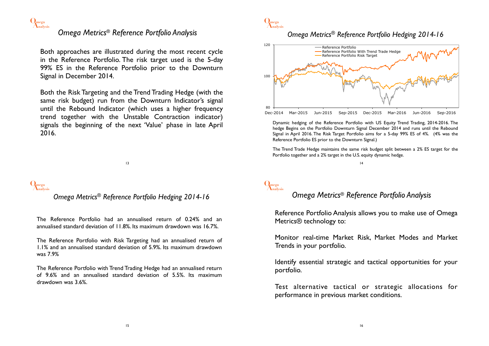

### *Omega Metrics® Reference Portfolio Analysis*

Both approaches are illustrated during the most recent cycle in the Reference Portfolio. The risk target used is the 5-day 99% ES in the Reference Portfolio prior to the Downturn Signal in December 2014.

Both the Risk Targeting and the Trend Trading Hedge (with the same risk budget) run from the Downturn Indicator's signal until the Rebound Indicator (which uses a higher frequency trend together with the Unstable Contraction indicator) signals the beginning of the next 'Value' phase in late April 2016.

13

# **Analysis Omega**

#### *Omega Metrics® Reference Portfolio Hedging 2014-16*

The Reference Portfolio had an annualised return of 0.24% and an annualised standard deviation of 11.8%. Its maximum drawdown was 16.7%.

The Reference Portfolio with Risk Targeting had an annualised return of 1.1% and an annualised standard deviation of 5.9%. Its maximum drawdown was 7.9%

The Reference Portfolio with Trend Trading Hedge had an annualised return of 9.6% and an annualised standard deviation of 5.5%. Its maximum drawdown was 3.6%.



#### *Omega Metrics® Reference Portfolio Hedging 2014-16*



Dynamic hedging of the Reference Portfolio with US Equity Trend Trading, 2014-2016. The hedge Begins on the Portfolio Downturn Signal December 2014 and runs until the Rebound Signal in April 2016. The Risk Target Portfolio aims for a 5-day 99% ES of 4%. (4% was the Reference Portfolio ES prior to the Downturn Signal.)

The Trend Trade Hedge maintains the same risk budget split between a 2% ES target for the Portfolio together and a 2% target in the U.S. equity dynamic hedge.

14

# **Analysis Omega**

#### *Omega Metrics® Reference Portfolio Analysis*

Reference Portfolio Analysis allows you to make use of Omega Metrics® technology to:

Monitor real-time Market Risk, Market Modes and Market Trends in your portfolio.

Identify essential strategic and tactical opportunities for your portfolio.

Test alternative tactical or strategic allocations for performance in previous market conditions.